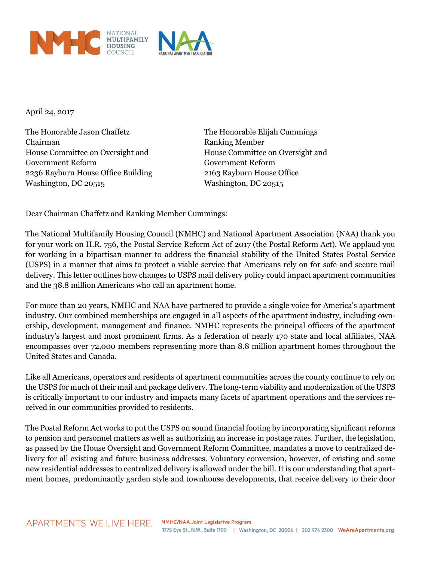

April 24, 2017

The Honorable Jason Chaffetz The Honorable Elijah Cummings Chairman Ranking Member House Committee on Oversight and House Committee on Oversight and Government Reform Government Reform 2236 Rayburn House Office Building 2163 Rayburn House Office Washington, DC 20515 Washington, DC 20515

Dear Chairman Chaffetz and Ranking Member Cummings:

The National Multifamily Housing Council (NMHC) and National Apartment Association (NAA) thank you for your work on H.R. 756, the Postal Service Reform Act of 2017 (the Postal Reform Act). We applaud you for working in a bipartisan manner to address the financial stability of the United States Postal Service (USPS) in a manner that aims to protect a viable service that Americans rely on for safe and secure mail delivery. This letter outlines how changes to USPS mail delivery policy could impact apartment communities and the 38.8 million Americans who call an apartment home.

For more than 20 years, NMHC and NAA have partnered to provide a single voice for America's apartment industry. Our combined memberships are engaged in all aspects of the apartment industry, including ownership, development, management and finance. NMHC represents the principal officers of the apartment industry's largest and most prominent firms. As a federation of nearly 170 state and local affiliates, NAA encompasses over 72,000 members representing more than 8.8 million apartment homes throughout the United States and Canada.

Like all Americans, operators and residents of apartment communities across the county continue to rely on the USPS for much of their mail and package delivery. The long-term viability and modernization of the USPS is critically important to our industry and impacts many facets of apartment operations and the services received in our communities provided to residents.

The Postal Reform Act works to put the USPS on sound financial footing by incorporating significant reforms to pension and personnel matters as well as authorizing an increase in postage rates. Further, the legislation, as passed by the House Oversight and Government Reform Committee, mandates a move to centralized delivery for all existing and future business addresses. Voluntary conversion, however, of existing and some new residential addresses to centralized delivery is allowed under the bill. It is our understanding that apartment homes, predominantly garden style and townhouse developments, that receive delivery to their door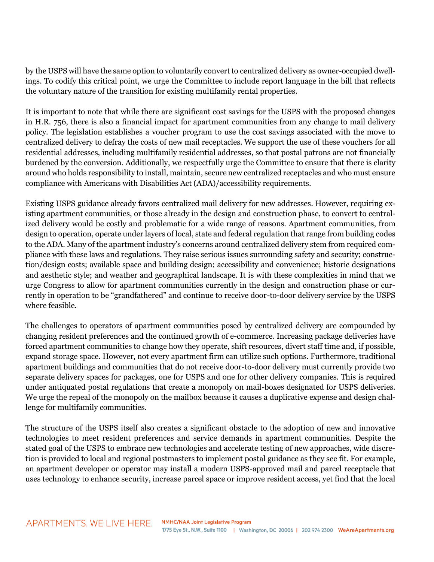by the USPS will have the same option to voluntarily convert to centralized delivery as owner-occupied dwellings. To codify this critical point, we urge the Committee to include report language in the bill that reflects the voluntary nature of the transition for existing multifamily rental properties.

It is important to note that while there are significant cost savings for the USPS with the proposed changes in H.R. 756, there is also a financial impact for apartment communities from any change to mail delivery policy. The legislation establishes a voucher program to use the cost savings associated with the move to centralized delivery to defray the costs of new mail receptacles. We support the use of these vouchers for all residential addresses, including multifamily residential addresses, so that postal patrons are not financially burdened by the conversion. Additionally, we respectfully urge the Committee to ensure that there is clarity around who holds responsibility to install, maintain, secure new centralized receptacles and who must ensure compliance with Americans with Disabilities Act (ADA)/accessibility requirements.

Existing USPS guidance already favors centralized mail delivery for new addresses. However, requiring existing apartment communities, or those already in the design and construction phase, to convert to centralized delivery would be costly and problematic for a wide range of reasons. Apartment communities, from design to operation, operate under layers of local, state and federal regulation that range from building codes to the ADA. Many of the apartment industry's concerns around centralized delivery stem from required compliance with these laws and regulations. They raise serious issues surrounding safety and security; construction/design costs; available space and building design; accessibility and convenience; historic designations and aesthetic style; and weather and geographical landscape. It is with these complexities in mind that we urge Congress to allow for apartment communities currently in the design and construction phase or currently in operation to be "grandfathered" and continue to receive door-to-door delivery service by the USPS where feasible.

The challenges to operators of apartment communities posed by centralized delivery are compounded by changing resident preferences and the continued growth of e-commerce. Increasing package deliveries have forced apartment communities to change how they operate, shift resources, divert staff time and, if possible, expand storage space. However, not every apartment firm can utilize such options. Furthermore, traditional apartment buildings and communities that do not receive door-to-door delivery must currently provide two separate delivery spaces for packages, one for USPS and one for other delivery companies. This is required under antiquated postal regulations that create a monopoly on mail-boxes designated for USPS deliveries. We urge the repeal of the monopoly on the mailbox because it causes a duplicative expense and design challenge for multifamily communities.

The structure of the USPS itself also creates a significant obstacle to the adoption of new and innovative technologies to meet resident preferences and service demands in apartment communities. Despite the stated goal of the USPS to embrace new technologies and accelerate testing of new approaches, wide discretion is provided to local and regional postmasters to implement postal guidance as they see fit. For example, an apartment developer or operator may install a modern USPS-approved mail and parcel receptacle that uses technology to enhance security, increase parcel space or improve resident access, yet find that the local